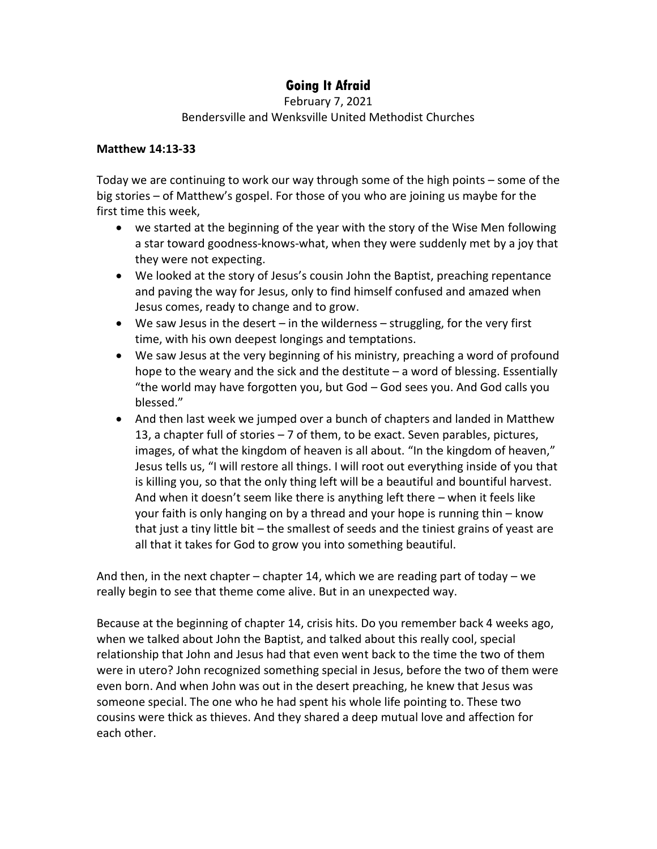## **Going It Afraid**

February 7, 2021

## Bendersville and Wenksville United Methodist Churches

## **Matthew 14:13-33**

Today we are continuing to work our way through some of the high points – some of the big stories – of Matthew's gospel. For those of you who are joining us maybe for the first time this week,

- we started at the beginning of the year with the story of the Wise Men following a star toward goodness-knows-what, when they were suddenly met by a joy that they were not expecting.
- We looked at the story of Jesus's cousin John the Baptist, preaching repentance and paving the way for Jesus, only to find himself confused and amazed when Jesus comes, ready to change and to grow.
- We saw Jesus in the desert  $-$  in the wilderness  $-$  struggling, for the very first time, with his own deepest longings and temptations.
- We saw Jesus at the very beginning of his ministry, preaching a word of profound hope to the weary and the sick and the destitute – a word of blessing. Essentially "the world may have forgotten you, but God – God sees you. And God calls you blessed."
- And then last week we jumped over a bunch of chapters and landed in Matthew 13, a chapter full of stories – 7 of them, to be exact. Seven parables, pictures, images, of what the kingdom of heaven is all about. "In the kingdom of heaven," Jesus tells us, "I will restore all things. I will root out everything inside of you that is killing you, so that the only thing left will be a beautiful and bountiful harvest. And when it doesn't seem like there is anything left there – when it feels like your faith is only hanging on by a thread and your hope is running thin – know that just a tiny little bit – the smallest of seeds and the tiniest grains of yeast are all that it takes for God to grow you into something beautiful.

And then, in the next chapter – chapter 14, which we are reading part of today – we really begin to see that theme come alive. But in an unexpected way.

Because at the beginning of chapter 14, crisis hits. Do you remember back 4 weeks ago, when we talked about John the Baptist, and talked about this really cool, special relationship that John and Jesus had that even went back to the time the two of them were in utero? John recognized something special in Jesus, before the two of them were even born. And when John was out in the desert preaching, he knew that Jesus was someone special. The one who he had spent his whole life pointing to. These two cousins were thick as thieves. And they shared a deep mutual love and affection for each other.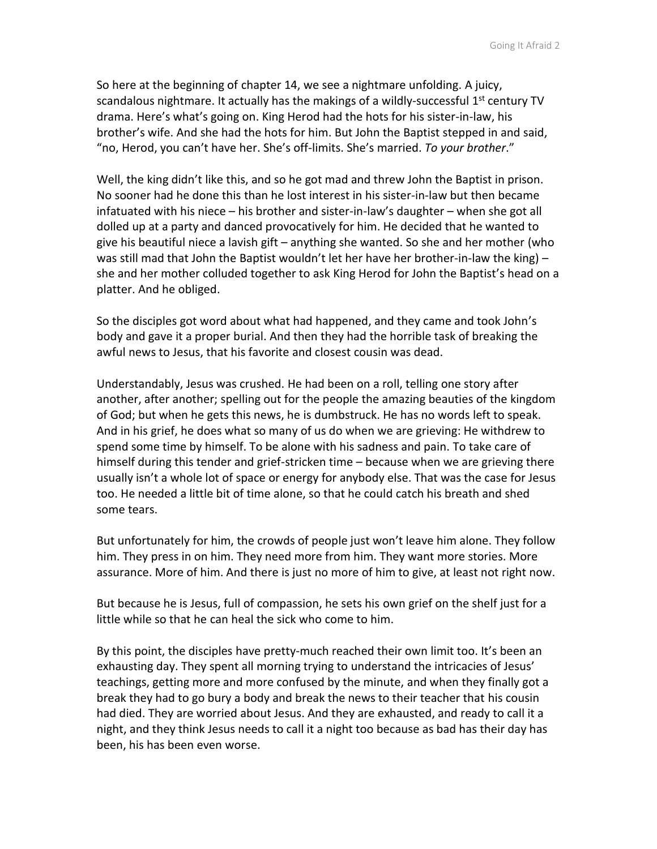So here at the beginning of chapter 14, we see a nightmare unfolding. A juicy, scandalous nightmare. It actually has the makings of a wildly-successful 1<sup>st</sup> century TV drama. Here's what's going on. King Herod had the hots for his sister-in-law, his brother's wife. And she had the hots for him. But John the Baptist stepped in and said, "no, Herod, you can't have her. She's off-limits. She's married. *To your brother*."

Well, the king didn't like this, and so he got mad and threw John the Baptist in prison. No sooner had he done this than he lost interest in his sister-in-law but then became infatuated with his niece – his brother and sister-in-law's daughter – when she got all dolled up at a party and danced provocatively for him. He decided that he wanted to give his beautiful niece a lavish gift – anything she wanted. So she and her mother (who was still mad that John the Baptist wouldn't let her have her brother-in-law the king)  $$ she and her mother colluded together to ask King Herod for John the Baptist's head on a platter. And he obliged.

So the disciples got word about what had happened, and they came and took John's body and gave it a proper burial. And then they had the horrible task of breaking the awful news to Jesus, that his favorite and closest cousin was dead.

Understandably, Jesus was crushed. He had been on a roll, telling one story after another, after another; spelling out for the people the amazing beauties of the kingdom of God; but when he gets this news, he is dumbstruck. He has no words left to speak. And in his grief, he does what so many of us do when we are grieving: He withdrew to spend some time by himself. To be alone with his sadness and pain. To take care of himself during this tender and grief-stricken time – because when we are grieving there usually isn't a whole lot of space or energy for anybody else. That was the case for Jesus too. He needed a little bit of time alone, so that he could catch his breath and shed some tears.

But unfortunately for him, the crowds of people just won't leave him alone. They follow him. They press in on him. They need more from him. They want more stories. More assurance. More of him. And there is just no more of him to give, at least not right now.

But because he is Jesus, full of compassion, he sets his own grief on the shelf just for a little while so that he can heal the sick who come to him.

By this point, the disciples have pretty-much reached their own limit too. It's been an exhausting day. They spent all morning trying to understand the intricacies of Jesus' teachings, getting more and more confused by the minute, and when they finally got a break they had to go bury a body and break the news to their teacher that his cousin had died. They are worried about Jesus. And they are exhausted, and ready to call it a night, and they think Jesus needs to call it a night too because as bad has their day has been, his has been even worse.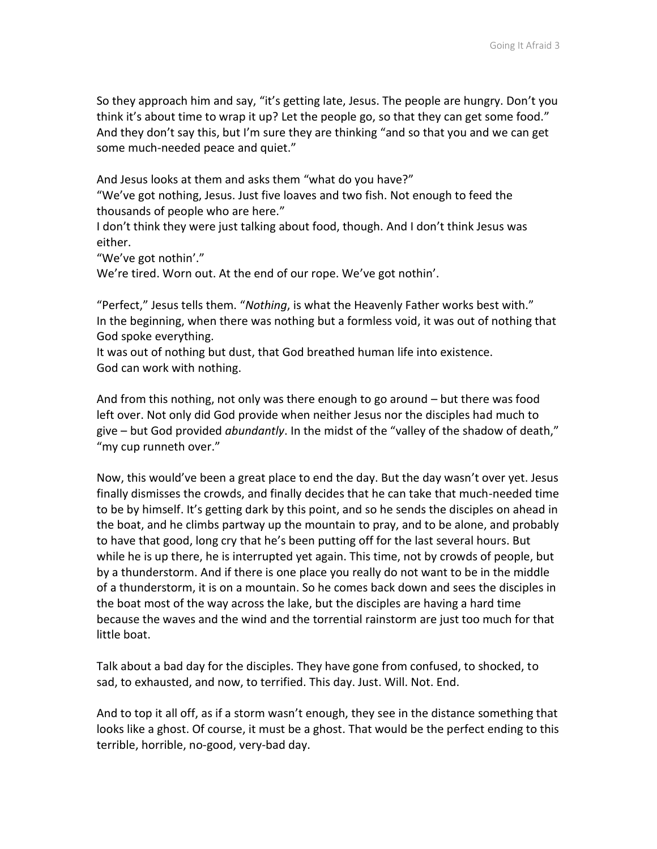So they approach him and say, "it's getting late, Jesus. The people are hungry. Don't you think it's about time to wrap it up? Let the people go, so that they can get some food." And they don't say this, but I'm sure they are thinking "and so that you and we can get some much-needed peace and quiet."

And Jesus looks at them and asks them "what do you have?"

"We've got nothing, Jesus. Just five loaves and two fish. Not enough to feed the thousands of people who are here."

I don't think they were just talking about food, though. And I don't think Jesus was either.

"We've got nothin'."

We're tired. Worn out. At the end of our rope. We've got nothin'.

"Perfect," Jesus tells them. "*Nothing*, is what the Heavenly Father works best with." In the beginning, when there was nothing but a formless void, it was out of nothing that God spoke everything.

It was out of nothing but dust, that God breathed human life into existence. God can work with nothing.

And from this nothing, not only was there enough to go around – but there was food left over. Not only did God provide when neither Jesus nor the disciples had much to give – but God provided *abundantly*. In the midst of the "valley of the shadow of death," "my cup runneth over."

Now, this would've been a great place to end the day. But the day wasn't over yet. Jesus finally dismisses the crowds, and finally decides that he can take that much-needed time to be by himself. It's getting dark by this point, and so he sends the disciples on ahead in the boat, and he climbs partway up the mountain to pray, and to be alone, and probably to have that good, long cry that he's been putting off for the last several hours. But while he is up there, he is interrupted yet again. This time, not by crowds of people, but by a thunderstorm. And if there is one place you really do not want to be in the middle of a thunderstorm, it is on a mountain. So he comes back down and sees the disciples in the boat most of the way across the lake, but the disciples are having a hard time because the waves and the wind and the torrential rainstorm are just too much for that little boat.

Talk about a bad day for the disciples. They have gone from confused, to shocked, to sad, to exhausted, and now, to terrified. This day. Just. Will. Not. End.

And to top it all off, as if a storm wasn't enough, they see in the distance something that looks like a ghost. Of course, it must be a ghost. That would be the perfect ending to this terrible, horrible, no-good, very-bad day.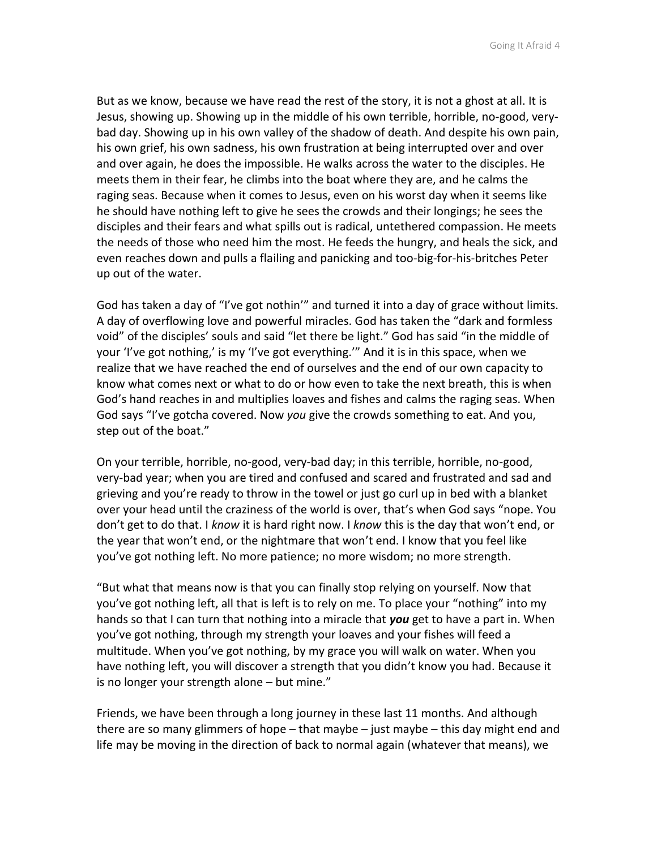But as we know, because we have read the rest of the story, it is not a ghost at all. It is Jesus, showing up. Showing up in the middle of his own terrible, horrible, no-good, verybad day. Showing up in his own valley of the shadow of death. And despite his own pain, his own grief, his own sadness, his own frustration at being interrupted over and over and over again, he does the impossible. He walks across the water to the disciples. He meets them in their fear, he climbs into the boat where they are, and he calms the raging seas. Because when it comes to Jesus, even on his worst day when it seems like he should have nothing left to give he sees the crowds and their longings; he sees the disciples and their fears and what spills out is radical, untethered compassion. He meets the needs of those who need him the most. He feeds the hungry, and heals the sick, and even reaches down and pulls a flailing and panicking and too-big-for-his-britches Peter up out of the water.

God has taken a day of "I've got nothin'" and turned it into a day of grace without limits. A day of overflowing love and powerful miracles. God has taken the "dark and formless void" of the disciples' souls and said "let there be light." God has said "in the middle of your 'I've got nothing,' is my 'I've got everything.'" And it is in this space, when we realize that we have reached the end of ourselves and the end of our own capacity to know what comes next or what to do or how even to take the next breath, this is when God's hand reaches in and multiplies loaves and fishes and calms the raging seas. When God says "I've gotcha covered. Now *you* give the crowds something to eat. And you, step out of the boat."

On your terrible, horrible, no-good, very-bad day; in this terrible, horrible, no-good, very-bad year; when you are tired and confused and scared and frustrated and sad and grieving and you're ready to throw in the towel or just go curl up in bed with a blanket over your head until the craziness of the world is over, that's when God says "nope. You don't get to do that. I *know* it is hard right now. I *know* this is the day that won't end, or the year that won't end, or the nightmare that won't end. I know that you feel like you've got nothing left. No more patience; no more wisdom; no more strength.

"But what that means now is that you can finally stop relying on yourself. Now that you've got nothing left, all that is left is to rely on me. To place your "nothing" into my hands so that I can turn that nothing into a miracle that *you* get to have a part in. When you've got nothing, through my strength your loaves and your fishes will feed a multitude. When you've got nothing, by my grace you will walk on water. When you have nothing left, you will discover a strength that you didn't know you had. Because it is no longer your strength alone – but mine."

Friends, we have been through a long journey in these last 11 months. And although there are so many glimmers of hope – that maybe – just maybe – this day might end and life may be moving in the direction of back to normal again (whatever that means), we